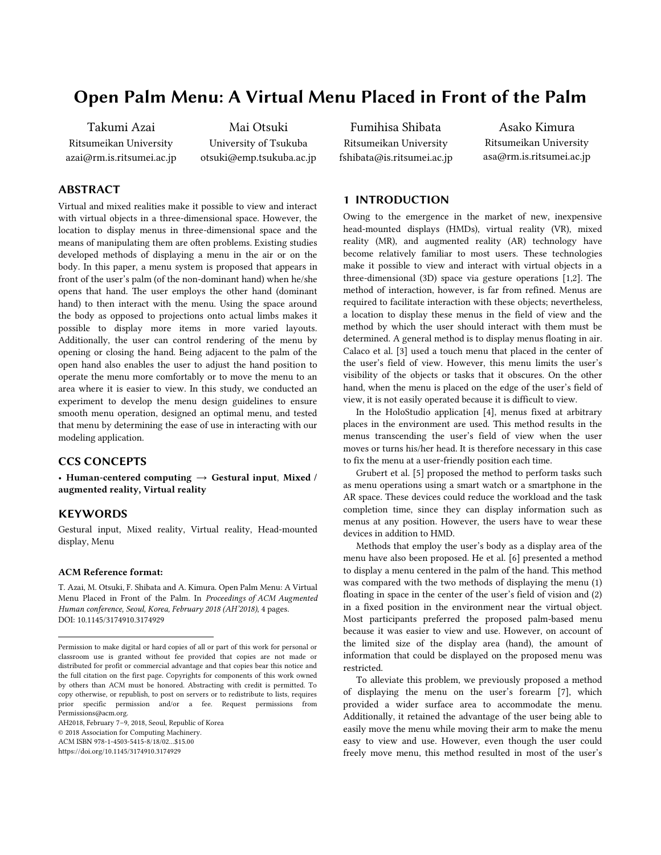# Open Palm Menu: A Virtual Menu Placed in Front of the Palm

Takumi Azai Ritsumeikan University azai@rm.is.ritsumei.ac.jp

Mai Otsuki University of Tsukuba otsuki@emp.tsukuba.ac.jp

## ABSTRACT

Virtual and mixed realities make it possible to view and interact with virtual objects in a three-dimensional space. However, the location to display menus in three-dimensional space and the means of manipulating them are often problems. Existing studies developed methods of displaying a menu in the air or on the body. In this paper, a menu system is proposed that appears in front of the user's palm (of the non-dominant hand) when he/she opens that hand. The user employs the other hand (dominant hand) to then interact with the menu. Using the space around the body as opposed to projections onto actual limbs makes it possible to display more items in more varied layouts. Additionally, the user can control rendering of the menu by opening or closing the hand. Being adjacent to the palm of the open hand also enables the user to adjust the hand position to operate the menu more comfortably or to move the menu to an area where it is easier to view. In this study, we conducted an experiment to develop the menu design guidelines to ensure smooth menu operation, designed an optimal menu, and tested that menu by determining the ease of use in interacting with our modeling application.

## CCS CONCEPTS

• Human-centered computing  $\rightarrow$  Gestural input, Mixed / augmented reality, Virtual reality

## **KEYWORDS**

 $\overline{a}$ 

Gestural input, Mixed reality, Virtual reality, Head-mounted display, Menu

#### ACM Reference format:

T. Azai, M. Otsuki, F. Shibata and A. Kimura. Open Palm Menu: A Virtual Menu Placed in Front of the Palm. In *Proceedings of ACM Augmented Human conference, Seoul, Korea, February 2018 (AH'2018)*, 4 pages. DOI: 10.1145/3174910.3174929

© 2018 Association for Computing Machinery.

ACM ISBN 978-1-4503-5415-8/18/02…\$15.00

Fumihisa Shibata Ritsumeikan University fshibata@is.ritsumei.ac.jp

Asako Kimura Ritsumeikan University asa@rm.is.ritsumei.ac.jp

## 1 INTRODUCTION

Owing to the emergence in the market of new, inexpensive head-mounted displays (HMDs), virtual reality (VR), mixed reality (MR), and augmented reality (AR) technology have become relatively familiar to most users. These technologies make it possible to view and interact with virtual objects in a three-dimensional (3D) space via gesture operations [1,2]. The method of interaction, however, is far from refined. Menus are required to facilitate interaction with these objects; nevertheless, a location to display these menus in the field of view and the method by which the user should interact with them must be determined. A general method is to display menus floating in air. Calaco et al. [3] used a touch menu that placed in the center of the user's field of view. However, this menu limits the user's visibility of the objects or tasks that it obscures. On the other hand, when the menu is placed on the edge of the user's field of view, it is not easily operated because it is difficult to view.

In the HoloStudio application [4], menus fixed at arbitrary places in the environment are used. This method results in the menus transcending the user's field of view when the user moves or turns his/her head. It is therefore necessary in this case to fix the menu at a user-friendly position each time.

Grubert et al. [5] proposed the method to perform tasks such as menu operations using a smart watch or a smartphone in the AR space. These devices could reduce the workload and the task completion time, since they can display information such as menus at any position. However, the users have to wear these devices in addition to HMD.

Methods that employ the user's body as a display area of the menu have also been proposed. He et al. [6] presented a method to display a menu centered in the palm of the hand. This method was compared with the two methods of displaying the menu (1) floating in space in the center of the user's field of vision and (2) in a fixed position in the environment near the virtual object. Most participants preferred the proposed palm-based menu because it was easier to view and use. However, on account of the limited size of the display area (hand), the amount of information that could be displayed on the proposed menu was restricted.

To alleviate this problem, we previously proposed a method of displaying the menu on the user's forearm [7], which provided a wider surface area to accommodate the menu. Additionally, it retained the advantage of the user being able to easily move the menu while moving their arm to make the menu easy to view and use. However, even though the user could freely move menu, this method resulted in most of the user's

Permission to make digital or hard copies of all or part of this work for personal or classroom use is granted without fee provided that copies are not made or distributed for profit or commercial advantage and that copies bear this notice and the full citation on the first page. Copyrights for components of this work owned by others than ACM must be honored. Abstracting with credit is permitted. To copy otherwise, or republish, to post on servers or to redistribute to lists, requires prior specific permission and/or a fee. Request permissions from Permissions@acm.org.

AH2018, February 7–9, 2018, Seoul, Republic of Korea

https://doi.org/10.1145/3174910.3174929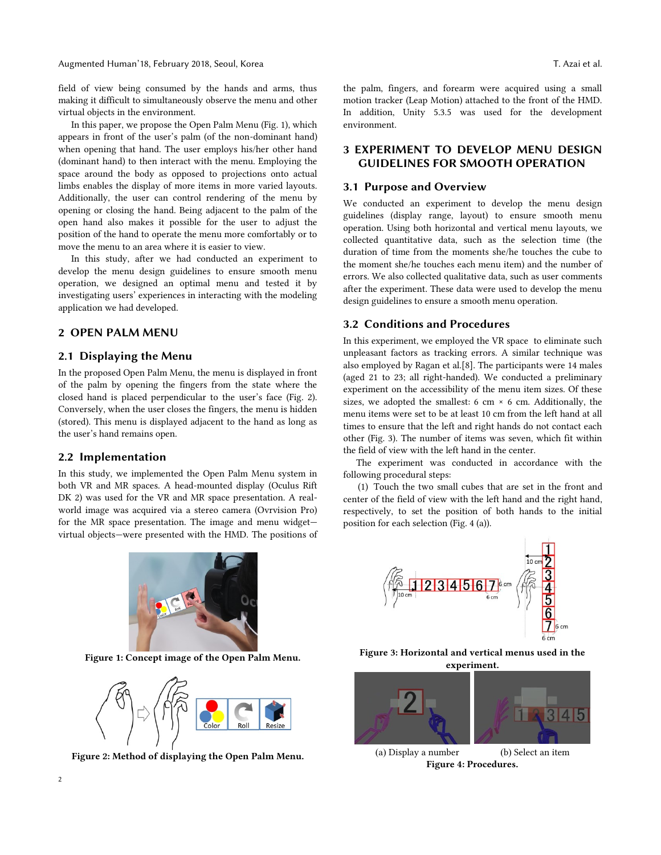Augmented Human'18, February 2018, Seoul, Korea T. Azai et al. T. Azai et al.

field of view being consumed by the hands and arms, thus making it difficult to simultaneously observe the menu and other virtual objects in the environment.

In this paper, we propose the Open Palm Menu (Fig. 1), which appears in front of the user's palm (of the non-dominant hand) when opening that hand. The user employs his/her other hand (dominant hand) to then interact with the menu. Employing the space around the body as opposed to projections onto actual limbs enables the display of more items in more varied layouts. Additionally, the user can control rendering of the menu by opening or closing the hand. Being adjacent to the palm of the open hand also makes it possible for the user to adjust the position of the hand to operate the menu more comfortably or to move the menu to an area where it is easier to view.

In this study, after we had conducted an experiment to develop the menu design guidelines to ensure smooth menu operation, we designed an optimal menu and tested it by investigating users' experiences in interacting with the modeling application we had developed.

## 2 OPEN PALM MENU

## 2.1 Displaying the Menu

In the proposed Open Palm Menu, the menu is displayed in front of the palm by opening the fingers from the state where the closed hand is placed perpendicular to the user's face (Fig. 2). Conversely, when the user closes the fingers, the menu is hidden (stored). This menu is displayed adjacent to the hand as long as the user's hand remains open.

## 2.2 Implementation

In this study, we implemented the Open Palm Menu system in both VR and MR spaces. A head-mounted display (Oculus Rift DK 2) was used for the VR and MR space presentation. A realworld image was acquired via a stereo camera (Ovrvision Pro) for the MR space presentation. The image and menu widget virtual objects—were presented with the HMD. The positions of the palm, fingers, and forearm were acquired using a small motion tracker (Leap Motion) attached to the front of the HMD. In addition, Unity 5.3.5 was used for the development environment.

# 3 EXPERIMENT TO DEVELOP MENU DESIGN GUIDELINES FOR SMOOTH OPERATION

### 3.1 Purpose and Overview

We conducted an experiment to develop the menu design guidelines (display range, layout) to ensure smooth menu operation. Using both horizontal and vertical menu layouts, we collected quantitative data, such as the selection time (the duration of time from the moments she/he touches the cube to the moment she/he touches each menu item) and the number of errors. We also collected qualitative data, such as user comments after the experiment. These data were used to develop the menu design guidelines to ensure a smooth menu operation.

### 3.2 Conditions and Procedures

In this experiment, we employed the VR space to eliminate such unpleasant factors as tracking errors. A similar technique was also employed by Ragan et al.[8]. The participants were 14 males (aged 21 to 23; all right-handed). We conducted a preliminary experiment on the accessibility of the menu item sizes. Of these sizes, we adopted the smallest: 6 cm  $\times$  6 cm. Additionally, the menu items were set to be at least 10 cm from the left hand at all times to ensure that the left and right hands do not contact each other (Fig. 3). The number of items was seven, which fit within the field of view with the left hand in the center.

The experiment was conducted in accordance with the following procedural steps:

(1) Touch the two small cubes that are set in the front and center of the field of view with the left hand and the right hand, respectively, to set the position of both hands to the initial position for each selection (Fig. 4 (a)).



Figure 1: Concept image of the Open Palm Menu.



Figure 2: Method of displaying the Open Palm Menu.



Figure 3: Horizontal and vertical menus used in the experiment.



(a) Display a number (b) Select an item Figure 4: Procedures.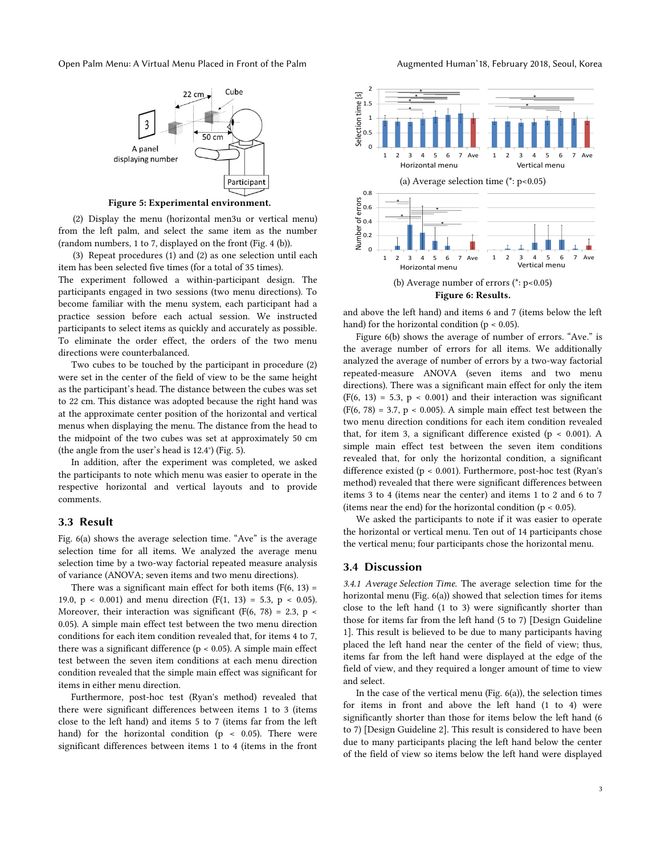Open Palm Menu: A Virtual Menu Placed in Front of the Palm Augmented Human'18, February 2018, Seoul, Korea



Figure 5: Experimental environment.

(2) Display the menu (horizontal men3u or vertical menu) from the left palm, and select the same item as the number (random numbers, 1 to 7, displayed on the front (Fig. 4 (b)).

(3) Repeat procedures (1) and (2) as one selection until each item has been selected five times (for a total of 35 times).

The experiment followed a within-participant design. The participants engaged in two sessions (two menu directions). To become familiar with the menu system, each participant had a practice session before each actual session. We instructed participants to select items as quickly and accurately as possible. To eliminate the order effect, the orders of the two menu directions were counterbalanced.

Two cubes to be touched by the participant in procedure (2) were set in the center of the field of view to be the same height as the participant's head. The distance between the cubes was set to 22 cm. This distance was adopted because the right hand was at the approximate center position of the horizontal and vertical menus when displaying the menu. The distance from the head to the midpoint of the two cubes was set at approximately 50 cm (the angle from the user's head is 12.4°) (Fig. 5).

In addition, after the experiment was completed, we asked the participants to note which menu was easier to operate in the respective horizontal and vertical layouts and to provide comments.

## 3.3 Result

Fig. 6(a) shows the average selection time. "Ave" is the average selection time for all items. We analyzed the average menu selection time by a two-way factorial repeated measure analysis of variance (ANOVA; seven items and two menu directions).

There was a significant main effect for both items  $(F(6, 13) =$ 19.0,  $p < 0.001$ ) and menu direction (F(1, 13) = 5.3,  $p < 0.05$ ). Moreover, their interaction was significant (F(6, 78) = 2.3, p < 0.05). A simple main effect test between the two menu direction conditions for each item condition revealed that, for items 4 to 7, there was a significant difference ( $p < 0.05$ ). A simple main effect test between the seven item conditions at each menu direction condition revealed that the simple main effect was significant for items in either menu direction.

Furthermore, post-hoc test (Ryan's method) revealed that there were significant differences between items 1 to 3 (items close to the left hand) and items 5 to 7 (items far from the left hand) for the horizontal condition ( $p < 0.05$ ). There were significant differences between items 1 to 4 (items in the front



and above the left hand) and items 6 and 7 (items below the left hand) for the horizontal condition ( $p < 0.05$ ).

Figure 6(b) shows the average of number of errors. "Ave." is the average number of errors for all items. We additionally analyzed the average of number of errors by a two-way factorial repeated-measure ANOVA (seven items and two menu directions). There was a significant main effect for only the item  $(F(6, 13) = 5.3, p < 0.001)$  and their interaction was significant  $(F(6, 78) = 3.7, p < 0.005)$ . A simple main effect test between the two menu direction conditions for each item condition revealed that, for item 3, a significant difference existed ( $p < 0.001$ ). A simple main effect test between the seven item conditions revealed that, for only the horizontal condition, a significant difference existed (p < 0.001). Furthermore, post-hoc test (Ryan's method) revealed that there were significant differences between items 3 to 4 (items near the center) and items 1 to 2 and 6 to 7 (items near the end) for the horizontal condition ( $p < 0.05$ ).

We asked the participants to note if it was easier to operate the horizontal or vertical menu. Ten out of 14 participants chose the vertical menu; four participants chose the horizontal menu.

### 3.4 Discussion

*3.4.1 Average Selection Time.* The average selection time for the horizontal menu (Fig. 6(a)) showed that selection times for items close to the left hand (1 to 3) were significantly shorter than those for items far from the left hand (5 to 7) [Design Guideline 1]. This result is believed to be due to many participants having placed the left hand near the center of the field of view; thus, items far from the left hand were displayed at the edge of the field of view, and they required a longer amount of time to view and select.

In the case of the vertical menu (Fig. 6(a)), the selection times for items in front and above the left hand (1 to 4) were significantly shorter than those for items below the left hand (6 to 7) [Design Guideline 2]. This result is considered to have been due to many participants placing the left hand below the center of the field of view so items below the left hand were displayed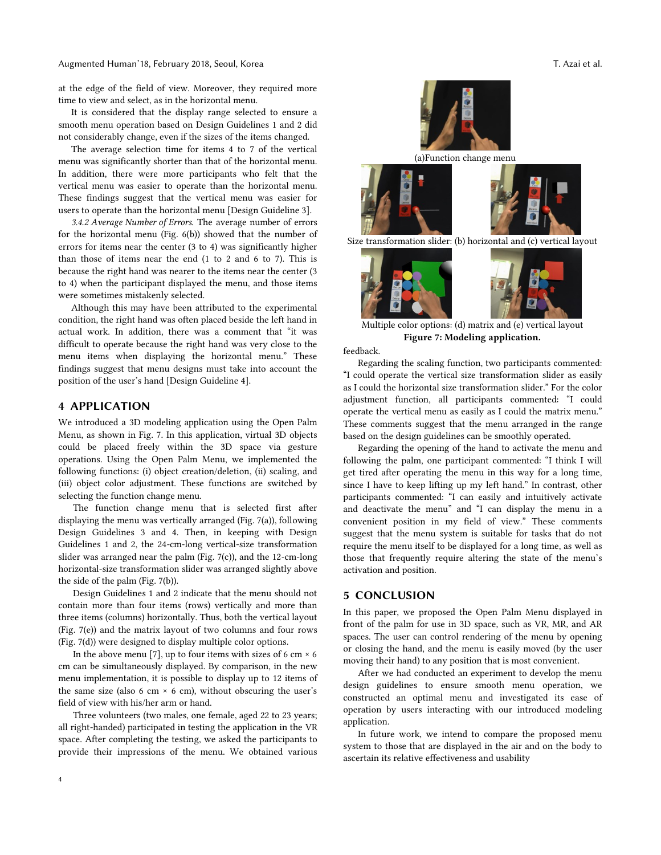at the edge of the field of view. Moreover, they required more time to view and select, as in the horizontal menu.

It is considered that the display range selected to ensure a smooth menu operation based on Design Guidelines 1 and 2 did not considerably change, even if the sizes of the items changed.

The average selection time for items 4 to 7 of the vertical menu was significantly shorter than that of the horizontal menu. In addition, there were more participants who felt that the vertical menu was easier to operate than the horizontal menu. These findings suggest that the vertical menu was easier for users to operate than the horizontal menu [Design Guideline 3].

*3.4.2 Average Number of Errors.* The average number of errors for the horizontal menu (Fig. 6(b)) showed that the number of errors for items near the center (3 to 4) was significantly higher than those of items near the end (1 to 2 and 6 to 7). This is because the right hand was nearer to the items near the center (3 to 4) when the participant displayed the menu, and those items were sometimes mistakenly selected.

Although this may have been attributed to the experimental condition, the right hand was often placed beside the left hand in actual work. In addition, there was a comment that "it was difficult to operate because the right hand was very close to the menu items when displaying the horizontal menu." These findings suggest that menu designs must take into account the position of the user's hand [Design Guideline 4].

## 4 APPLICATION

We introduced a 3D modeling application using the Open Palm Menu, as shown in Fig. 7. In this application, virtual 3D objects could be placed freely within the 3D space via gesture operations. Using the Open Palm Menu, we implemented the following functions: (i) object creation/deletion, (ii) scaling, and (iii) object color adjustment. These functions are switched by selecting the function change menu.

The function change menu that is selected first after displaying the menu was vertically arranged (Fig. 7(a)), following Design Guidelines 3 and 4. Then, in keeping with Design Guidelines 1 and 2, the 24-cm-long vertical-size transformation slider was arranged near the palm (Fig. 7(c)), and the 12-cm-long horizontal-size transformation slider was arranged slightly above the side of the palm (Fig. 7(b)).

Design Guidelines 1 and 2 indicate that the menu should not contain more than four items (rows) vertically and more than three items (columns) horizontally. Thus, both the vertical layout (Fig. 7(e)) and the matrix layout of two columns and four rows (Fig. 7(d)) were designed to display multiple color options.

In the above menu [7], up to four items with sizes of 6 cm  $\times$  6 cm can be simultaneously displayed. By comparison, in the new menu implementation, it is possible to display up to 12 items of the same size (also 6 cm  $\times$  6 cm), without obscuring the user's field of view with his/her arm or hand.

Three volunteers (two males, one female, aged 22 to 23 years; all right-handed) participated in testing the application in the VR space. After completing the testing, we asked the participants to provide their impressions of the menu. We obtained various



(a)Function change menu



Size transformation slider: (b) horizontal and (c) vertical layout



Multiple color options: (d) matrix and (e) vertical layout Figure 7: Modeling application.

feedback.

Regarding the scaling function, two participants commented: "I could operate the vertical size transformation slider as easily as I could the horizontal size transformation slider." For the color adjustment function, all participants commented: "I could operate the vertical menu as easily as I could the matrix menu." These comments suggest that the menu arranged in the range based on the design guidelines can be smoothly operated.

Regarding the opening of the hand to activate the menu and following the palm, one participant commented: "I think I will get tired after operating the menu in this way for a long time, since I have to keep lifting up my left hand." In contrast, other participants commented: "I can easily and intuitively activate and deactivate the menu" and "I can display the menu in a convenient position in my field of view." These comments suggest that the menu system is suitable for tasks that do not require the menu itself to be displayed for a long time, as well as those that frequently require altering the state of the menu's activation and position.

#### 5 CONCLUSION

In this paper, we proposed the Open Palm Menu displayed in front of the palm for use in 3D space, such as VR, MR, and AR spaces. The user can control rendering of the menu by opening or closing the hand, and the menu is easily moved (by the user moving their hand) to any position that is most convenient.

After we had conducted an experiment to develop the menu design guidelines to ensure smooth menu operation, we constructed an optimal menu and investigated its ease of operation by users interacting with our introduced modeling application.

In future work, we intend to compare the proposed menu system to those that are displayed in the air and on the body to ascertain its relative effectiveness and usability